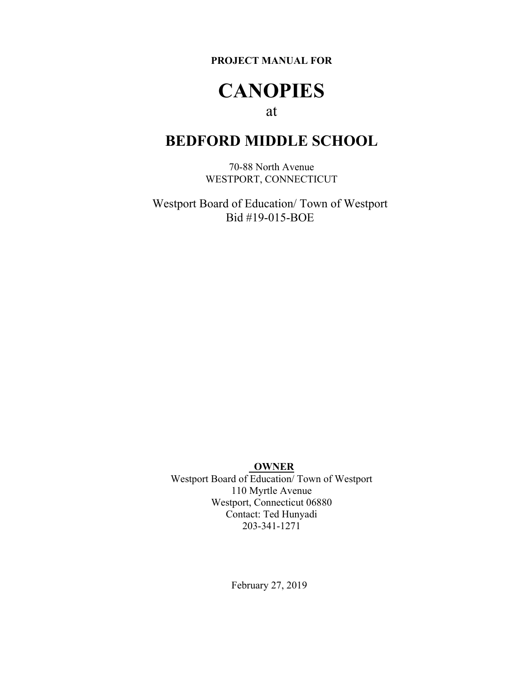**PROJECT MANUAL FOR** 

## **CANOPIES**

## at

## **BEDFORD MIDDLE SCHOOL**

70-88 North Avenue WESTPORT, CONNECTICUT

Westport Board of Education/ Town of Westport Bid #19-015-BOE

#### **OWNER**

Westport Board of Education/ Town of Westport 110 Myrtle Avenue Westport, Connecticut 06880 Contact: Ted Hunyadi 203-341-1271

February 27, 2019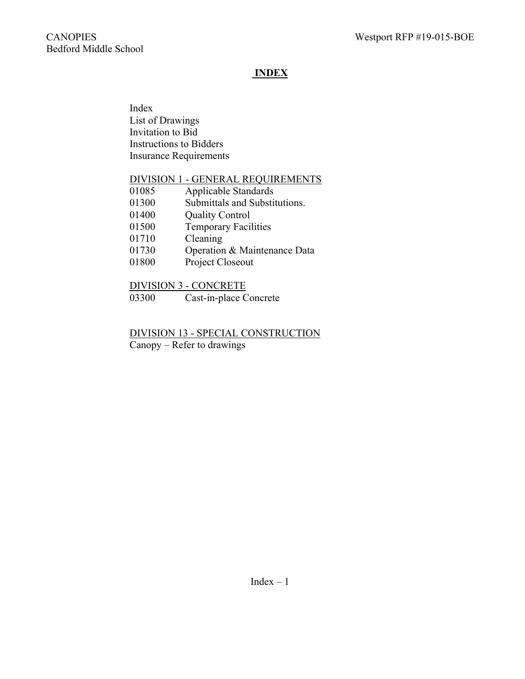## **INDEX**

Index List of Drawings Invitation to Bid Instructions to Bidders Insurance Requirements

#### DIVISION 1 - GENERAL REQUIREMENTS

| 01085 | Applicable Standards          |
|-------|-------------------------------|
| 01300 | Submittals and Substitutions. |
| 01400 | <b>Quality Control</b>        |
| 01500 | <b>Temporary Facilities</b>   |
| 01710 | Cleaning                      |
| 01730 | Operation & Maintenance Data  |
| 01800 | Project Closeout              |

## DIVISION 3 - CONCRETE

03300 Cast-in-place Concrete

## DIVISION 13 - SPECIAL CONSTRUCTION

Canopy – Refer to drawings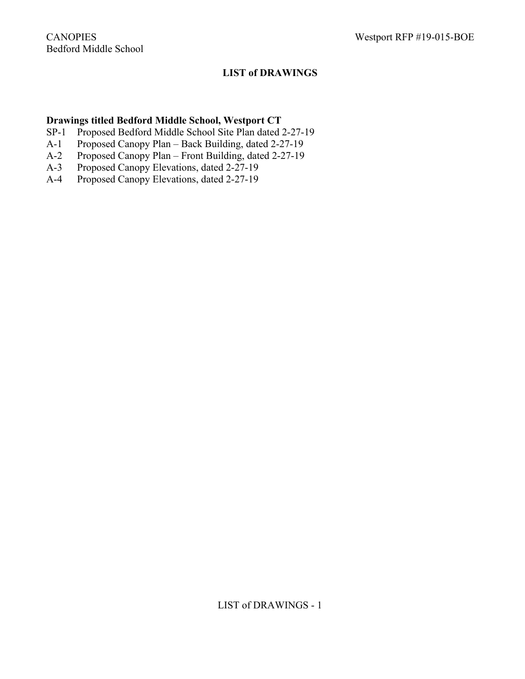## **LIST of DRAWINGS**

#### **Drawings titled Bedford Middle School, Westport CT**

- SP-1 Proposed Bedford Middle School Site Plan dated 2-27-19
- A-1 Proposed Canopy Plan Back Building, dated 2-27-19
- A-2 Proposed Canopy Plan Front Building, dated 2-27-19
- A-3 Proposed Canopy Elevations, dated 2-27-19
- A-4 Proposed Canopy Elevations, dated 2-27-19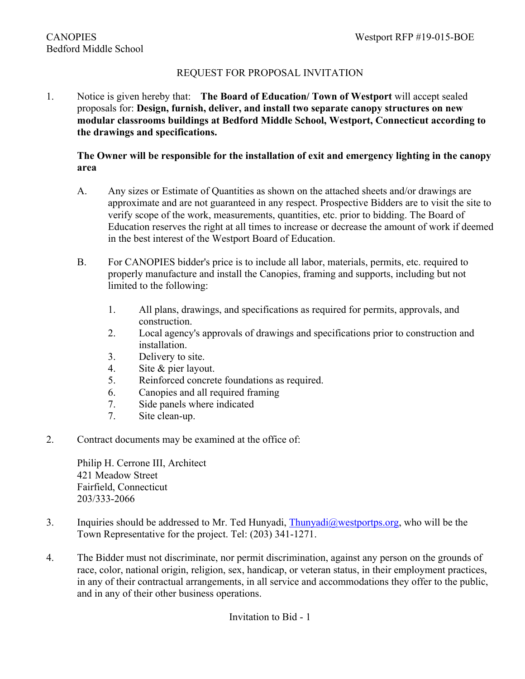## REQUEST FOR PROPOSAL INVITATION

1. Notice is given hereby that: **The Board of Education/ Town of Westport** will accept sealed proposals for: **Design, furnish, deliver, and install two separate canopy structures on new modular classrooms buildings at Bedford Middle School, Westport, Connecticut according to the drawings and specifications.** 

#### **The Owner will be responsible for the installation of exit and emergency lighting in the canopy area**

- A. Any sizes or Estimate of Quantities as shown on the attached sheets and/or drawings are approximate and are not guaranteed in any respect. Prospective Bidders are to visit the site to verify scope of the work, measurements, quantities, etc. prior to bidding. The Board of Education reserves the right at all times to increase or decrease the amount of work if deemed in the best interest of the Westport Board of Education.
- B. For CANOPIES bidder's price is to include all labor, materials, permits, etc. required to properly manufacture and install the Canopies, framing and supports, including but not limited to the following:
	- 1. All plans, drawings, and specifications as required for permits, approvals, and construction.
	- 2. Local agency's approvals of drawings and specifications prior to construction and installation.
	- 3. Delivery to site.
	- 4. Site & pier layout.
	- 5. Reinforced concrete foundations as required.
	- 6. Canopies and all required framing
	- 7. Side panels where indicated
	- 7. Site clean-up.
- 2. Contract documents may be examined at the office of:

Philip H. Cerrone III, Architect 421 Meadow Street Fairfield, Connecticut 203/333-2066

- 3. Inquiries should be addressed to Mr. Ted Hunyadi, [Thunyadi@westportps.org](mailto:Thunyadi@westportps.org), who will be the Town Representative for the project. Tel: (203) 341-1271.
- 4. The Bidder must not discriminate, nor permit discrimination, against any person on the grounds of race, color, national origin, religion, sex, handicap, or veteran status, in their employment practices, in any of their contractual arrangements, in all service and accommodations they offer to the public, and in any of their other business operations.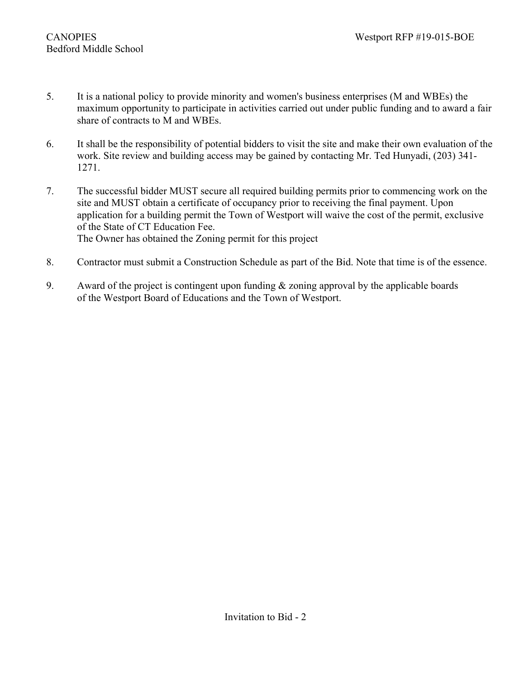- 5. It is a national policy to provide minority and women's business enterprises (M and WBEs) the maximum opportunity to participate in activities carried out under public funding and to award a fair share of contracts to M and WBEs.
- 6. It shall be the responsibility of potential bidders to visit the site and make their own evaluation of the work. Site review and building access may be gained by contacting Mr. Ted Hunyadi, (203) 341- 1271.
- 7. The successful bidder MUST secure all required building permits prior to commencing work on the site and MUST obtain a certificate of occupancy prior to receiving the final payment. Upon application for a building permit the Town of Westport will waive the cost of the permit, exclusive of the State of CT Education Fee. The Owner has obtained the Zoning permit for this project
- 8. Contractor must submit a Construction Schedule as part of the Bid. Note that time is of the essence.
- 9. Award of the project is contingent upon funding & zoning approval by the applicable boards of the Westport Board of Educations and the Town of Westport.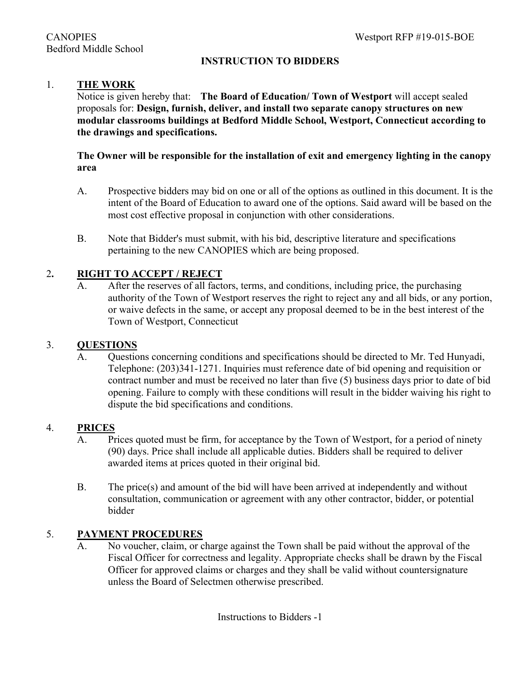## **INSTRUCTION TO BIDDERS**

#### 1. **THE WORK**

Notice is given hereby that: **The Board of Education/ Town of Westport** will accept sealed proposals for: **Design, furnish, deliver, and install two separate canopy structures on new modular classrooms buildings at Bedford Middle School, Westport, Connecticut according to the drawings and specifications.** 

#### **The Owner will be responsible for the installation of exit and emergency lighting in the canopy area**

- A. Prospective bidders may bid on one or all of the options as outlined in this document. It is the intent of the Board of Education to award one of the options. Said award will be based on the most cost effective proposal in conjunction with other considerations.
- B. Note that Bidder's must submit, with his bid, descriptive literature and specifications pertaining to the new CANOPIES which are being proposed.

#### 2**. RIGHT TO ACCEPT / REJECT**

A. After the reserves of all factors, terms, and conditions, including price, the purchasing authority of the Town of Westport reserves the right to reject any and all bids, or any portion, or waive defects in the same, or accept any proposal deemed to be in the best interest of the Town of Westport, Connecticut

#### 3. **QUESTIONS**

A. Questions concerning conditions and specifications should be directed to Mr. Ted Hunyadi, Telephone: (203)341-1271. Inquiries must reference date of bid opening and requisition or contract number and must be received no later than five (5) business days prior to date of bid opening. Failure to comply with these conditions will result in the bidder waiving his right to dispute the bid specifications and conditions.

#### 4. **PRICES**

- A. Prices quoted must be firm, for acceptance by the Town of Westport, for a period of ninety (90) days. Price shall include all applicable duties. Bidders shall be required to deliver awarded items at prices quoted in their original bid.
- B. The price(s) and amount of the bid will have been arrived at independently and without consultation, communication or agreement with any other contractor, bidder, or potential bidder

#### 5. **PAYMENT PROCEDURES**

A. No voucher, claim, or charge against the Town shall be paid without the approval of the Fiscal Officer for correctness and legality. Appropriate checks shall be drawn by the Fiscal Officer for approved claims or charges and they shall be valid without countersignature unless the Board of Selectmen otherwise prescribed.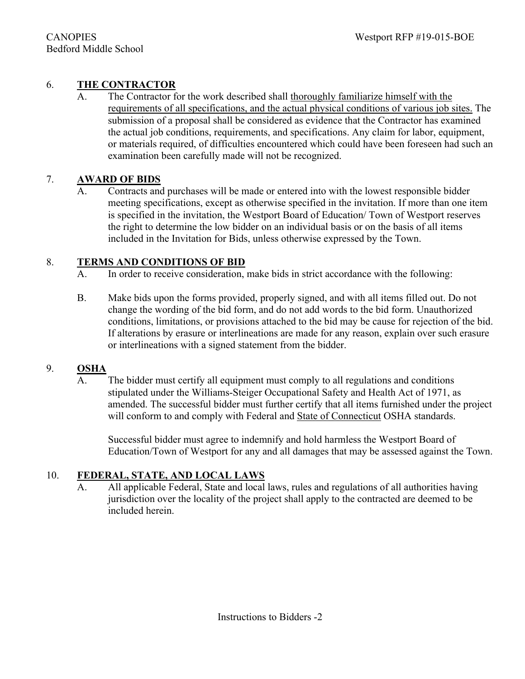## 6. **THE CONTRACTOR**

A. The Contractor for the work described shall thoroughly familiarize himself with the requirements of all specifications, and the actual physical conditions of various job sites. The submission of a proposal shall be considered as evidence that the Contractor has examined the actual job conditions, requirements, and specifications. Any claim for labor, equipment, or materials required, of difficulties encountered which could have been foreseen had such an examination been carefully made will not be recognized.

## 7. **AWARD OF BIDS**

A. Contracts and purchases will be made or entered into with the lowest responsible bidder meeting specifications, except as otherwise specified in the invitation. If more than one item is specified in the invitation, the Westport Board of Education/ Town of Westport reserves the right to determine the low bidder on an individual basis or on the basis of all items included in the Invitation for Bids, unless otherwise expressed by the Town.

## 8. **TERMS AND CONDITIONS OF BID**

- A. In order to receive consideration, make bids in strict accordance with the following:
- B. Make bids upon the forms provided, properly signed, and with all items filled out. Do not change the wording of the bid form, and do not add words to the bid form. Unauthorized conditions, limitations, or provisions attached to the bid may be cause for rejection of the bid. If alterations by erasure or interlineations are made for any reason, explain over such erasure or interlineations with a signed statement from the bidder.

#### 9. **OSHA**

A. The bidder must certify all equipment must comply to all regulations and conditions stipulated under the Williams-Steiger Occupational Safety and Health Act of 1971, as amended. The successful bidder must further certify that all items furnished under the project will conform to and comply with Federal and State of Connecticut OSHA standards.

Successful bidder must agree to indemnify and hold harmless the Westport Board of Education/Town of Westport for any and all damages that may be assessed against the Town.

#### 10. **FEDERAL, STATE, AND LOCAL LAWS**

A. All applicable Federal, State and local laws, rules and regulations of all authorities having jurisdiction over the locality of the project shall apply to the contracted are deemed to be included herein.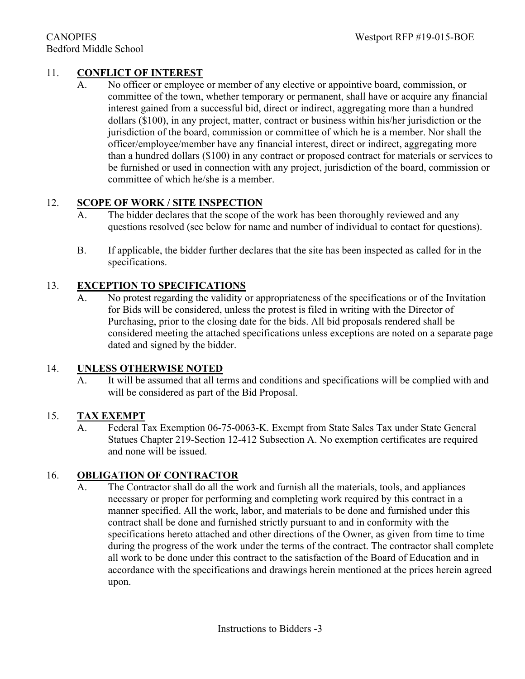## 11. **CONFLICT OF INTEREST**

A. No officer or employee or member of any elective or appointive board, commission, or committee of the town, whether temporary or permanent, shall have or acquire any financial interest gained from a successful bid, direct or indirect, aggregating more than a hundred dollars (\$100), in any project, matter, contract or business within his/her jurisdiction or the jurisdiction of the board, commission or committee of which he is a member. Nor shall the officer/employee/member have any financial interest, direct or indirect, aggregating more than a hundred dollars (\$100) in any contract or proposed contract for materials or services to be furnished or used in connection with any project, jurisdiction of the board, commission or committee of which he/she is a member.

## 12. **SCOPE OF WORK / SITE INSPECTION**

- A. The bidder declares that the scope of the work has been thoroughly reviewed and any questions resolved (see below for name and number of individual to contact for questions).
- B. If applicable, the bidder further declares that the site has been inspected as called for in the specifications.

## 13. **EXCEPTION TO SPECIFICATIONS**

A. No protest regarding the validity or appropriateness of the specifications or of the Invitation for Bids will be considered, unless the protest is filed in writing with the Director of Purchasing, prior to the closing date for the bids. All bid proposals rendered shall be considered meeting the attached specifications unless exceptions are noted on a separate page dated and signed by the bidder.

#### 14. **UNLESS OTHERWISE NOTED**

A. It will be assumed that all terms and conditions and specifications will be complied with and will be considered as part of the Bid Proposal.

#### 15. **TAX EXEMPT**

A. Federal Tax Exemption 06-75-0063-K. Exempt from State Sales Tax under State General Statues Chapter 219-Section 12-412 Subsection A. No exemption certificates are required and none will be issued.

#### 16. **OBLIGATION OF CONTRACTOR**

A. The Contractor shall do all the work and furnish all the materials, tools, and appliances necessary or proper for performing and completing work required by this contract in a manner specified. All the work, labor, and materials to be done and furnished under this contract shall be done and furnished strictly pursuant to and in conformity with the specifications hereto attached and other directions of the Owner, as given from time to time during the progress of the work under the terms of the contract. The contractor shall complete all work to be done under this contract to the satisfaction of the Board of Education and in accordance with the specifications and drawings herein mentioned at the prices herein agreed upon.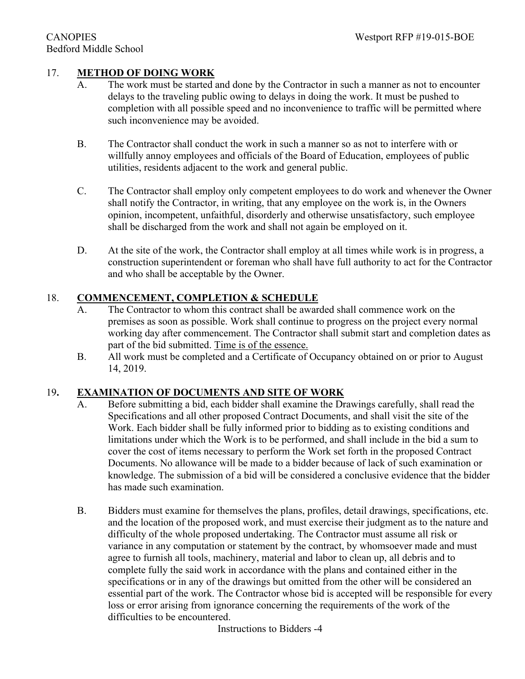## 17. **METHOD OF DOING WORK**

- A. The work must be started and done by the Contractor in such a manner as not to encounter delays to the traveling public owing to delays in doing the work. It must be pushed to completion with all possible speed and no inconvenience to traffic will be permitted where such inconvenience may be avoided.
- B. The Contractor shall conduct the work in such a manner so as not to interfere with or willfully annoy employees and officials of the Board of Education, employees of public utilities, residents adjacent to the work and general public.
- C. The Contractor shall employ only competent employees to do work and whenever the Owner shall notify the Contractor, in writing, that any employee on the work is, in the Owners opinion, incompetent, unfaithful, disorderly and otherwise unsatisfactory, such employee shall be discharged from the work and shall not again be employed on it.
- D. At the site of the work, the Contractor shall employ at all times while work is in progress, a construction superintendent or foreman who shall have full authority to act for the Contractor and who shall be acceptable by the Owner.

#### 18. **COMMENCEMENT, COMPLETION & SCHEDULE**

- A. The Contractor to whom this contract shall be awarded shall commence work on the premises as soon as possible. Work shall continue to progress on the project every normal working day after commencement. The Contractor shall submit start and completion dates as part of the bid submitted. Time is of the essence.
- B. All work must be completed and a Certificate of Occupancy obtained on or prior to August 14, 2019.

#### 19**. EXAMINATION OF DOCUMENTS AND SITE OF WORK**

- A. Before submitting a bid, each bidder shall examine the Drawings carefully, shall read the Specifications and all other proposed Contract Documents, and shall visit the site of the Work. Each bidder shall be fully informed prior to bidding as to existing conditions and limitations under which the Work is to be performed, and shall include in the bid a sum to cover the cost of items necessary to perform the Work set forth in the proposed Contract Documents. No allowance will be made to a bidder because of lack of such examination or knowledge. The submission of a bid will be considered a conclusive evidence that the bidder has made such examination.
- B. Bidders must examine for themselves the plans, profiles, detail drawings, specifications, etc. and the location of the proposed work, and must exercise their judgment as to the nature and difficulty of the whole proposed undertaking. The Contractor must assume all risk or variance in any computation or statement by the contract, by whomsoever made and must agree to furnish all tools, machinery, material and labor to clean up, all debris and to complete fully the said work in accordance with the plans and contained either in the specifications or in any of the drawings but omitted from the other will be considered an essential part of the work. The Contractor whose bid is accepted will be responsible for every loss or error arising from ignorance concerning the requirements of the work of the difficulties to be encountered.

Instructions to Bidders -4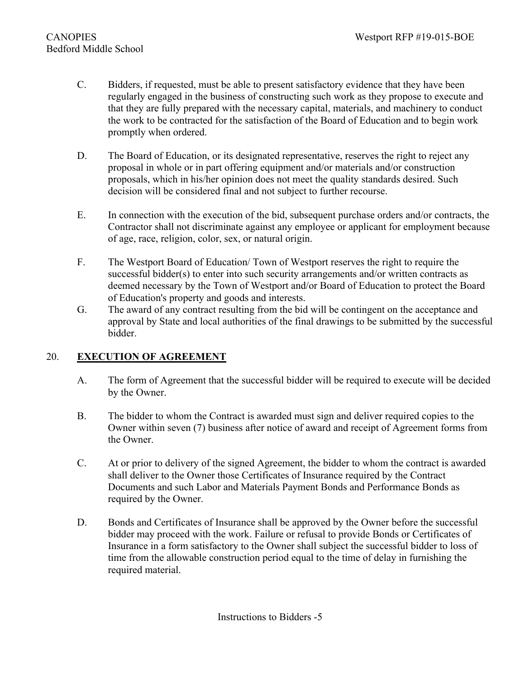- C. Bidders, if requested, must be able to present satisfactory evidence that they have been regularly engaged in the business of constructing such work as they propose to execute and that they are fully prepared with the necessary capital, materials, and machinery to conduct the work to be contracted for the satisfaction of the Board of Education and to begin work promptly when ordered.
- D. The Board of Education, or its designated representative, reserves the right to reject any proposal in whole or in part offering equipment and/or materials and/or construction proposals, which in his/her opinion does not meet the quality standards desired. Such decision will be considered final and not subject to further recourse.
- E. In connection with the execution of the bid, subsequent purchase orders and/or contracts, the Contractor shall not discriminate against any employee or applicant for employment because of age, race, religion, color, sex, or natural origin.
- F. The Westport Board of Education/ Town of Westport reserves the right to require the successful bidder(s) to enter into such security arrangements and/or written contracts as deemed necessary by the Town of Westport and/or Board of Education to protect the Board of Education's property and goods and interests.
- G. The award of any contract resulting from the bid will be contingent on the acceptance and approval by State and local authorities of the final drawings to be submitted by the successful bidder.

## 20. **EXECUTION OF AGREEMENT**

- A. The form of Agreement that the successful bidder will be required to execute will be decided by the Owner.
- B. The bidder to whom the Contract is awarded must sign and deliver required copies to the Owner within seven (7) business after notice of award and receipt of Agreement forms from the Owner.
- C. At or prior to delivery of the signed Agreement, the bidder to whom the contract is awarded shall deliver to the Owner those Certificates of Insurance required by the Contract Documents and such Labor and Materials Payment Bonds and Performance Bonds as required by the Owner.
- D. Bonds and Certificates of Insurance shall be approved by the Owner before the successful bidder may proceed with the work. Failure or refusal to provide Bonds or Certificates of Insurance in a form satisfactory to the Owner shall subject the successful bidder to loss of time from the allowable construction period equal to the time of delay in furnishing the required material.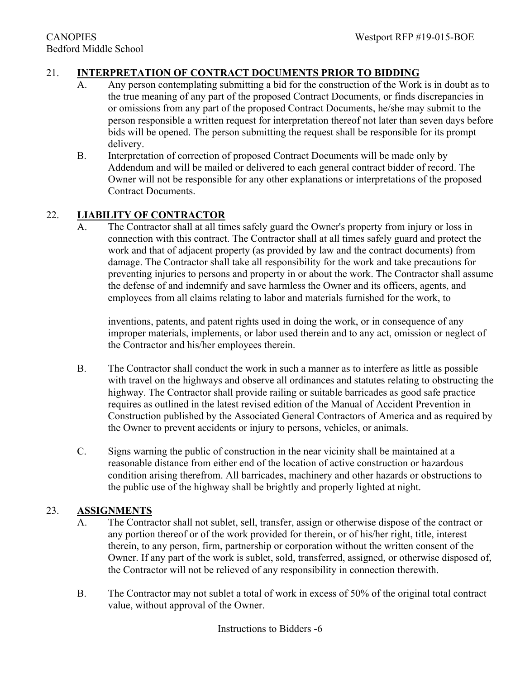## 21. **INTERPRETATION OF CONTRACT DOCUMENTS PRIOR TO BIDDING**

- A. Any person contemplating submitting a bid for the construction of the Work is in doubt as to the true meaning of any part of the proposed Contract Documents, or finds discrepancies in or omissions from any part of the proposed Contract Documents, he/she may submit to the person responsible a written request for interpretation thereof not later than seven days before bids will be opened. The person submitting the request shall be responsible for its prompt delivery.
- B. Interpretation of correction of proposed Contract Documents will be made only by Addendum and will be mailed or delivered to each general contract bidder of record. The Owner will not be responsible for any other explanations or interpretations of the proposed Contract Documents.

#### 22. **LIABILITY OF CONTRACTOR**

A. The Contractor shall at all times safely guard the Owner's property from injury or loss in connection with this contract. The Contractor shall at all times safely guard and protect the work and that of adjacent property (as provided by law and the contract documents) from damage. The Contractor shall take all responsibility for the work and take precautions for preventing injuries to persons and property in or about the work. The Contractor shall assume the defense of and indemnify and save harmless the Owner and its officers, agents, and employees from all claims relating to labor and materials furnished for the work, to

inventions, patents, and patent rights used in doing the work, or in consequence of any improper materials, implements, or labor used therein and to any act, omission or neglect of the Contractor and his/her employees therein.

- B. The Contractor shall conduct the work in such a manner as to interfere as little as possible with travel on the highways and observe all ordinances and statutes relating to obstructing the highway. The Contractor shall provide railing or suitable barricades as good safe practice requires as outlined in the latest revised edition of the Manual of Accident Prevention in Construction published by the Associated General Contractors of America and as required by the Owner to prevent accidents or injury to persons, vehicles, or animals.
- C. Signs warning the public of construction in the near vicinity shall be maintained at a reasonable distance from either end of the location of active construction or hazardous condition arising therefrom. All barricades, machinery and other hazards or obstructions to the public use of the highway shall be brightly and properly lighted at night.

#### 23. **ASSIGNMENTS**

- A. The Contractor shall not sublet, sell, transfer, assign or otherwise dispose of the contract or any portion thereof or of the work provided for therein, or of his/her right, title, interest therein, to any person, firm, partnership or corporation without the written consent of the Owner. If any part of the work is sublet, sold, transferred, assigned, or otherwise disposed of, the Contractor will not be relieved of any responsibility in connection therewith.
- B. The Contractor may not sublet a total of work in excess of 50% of the original total contract value, without approval of the Owner.

Instructions to Bidders -6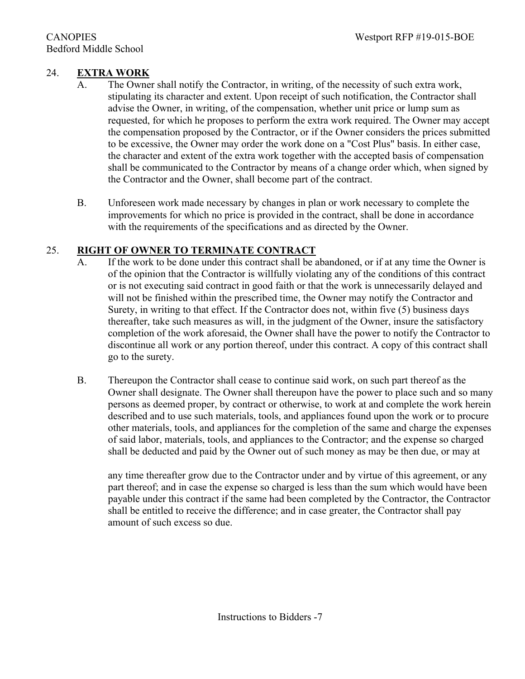## 24. **EXTRA WORK**

- A. The Owner shall notify the Contractor, in writing, of the necessity of such extra work, stipulating its character and extent. Upon receipt of such notification, the Contractor shall advise the Owner, in writing, of the compensation, whether unit price or lump sum as requested, for which he proposes to perform the extra work required. The Owner may accept the compensation proposed by the Contractor, or if the Owner considers the prices submitted to be excessive, the Owner may order the work done on a "Cost Plus" basis. In either case, the character and extent of the extra work together with the accepted basis of compensation shall be communicated to the Contractor by means of a change order which, when signed by the Contractor and the Owner, shall become part of the contract.
- B. Unforeseen work made necessary by changes in plan or work necessary to complete the improvements for which no price is provided in the contract, shall be done in accordance with the requirements of the specifications and as directed by the Owner.

## 25. **RIGHT OF OWNER TO TERMINATE CONTRACT**

- A. If the work to be done under this contract shall be abandoned, or if at any time the Owner is of the opinion that the Contractor is willfully violating any of the conditions of this contract or is not executing said contract in good faith or that the work is unnecessarily delayed and will not be finished within the prescribed time, the Owner may notify the Contractor and Surety, in writing to that effect. If the Contractor does not, within five (5) business days thereafter, take such measures as will, in the judgment of the Owner, insure the satisfactory completion of the work aforesaid, the Owner shall have the power to notify the Contractor to discontinue all work or any portion thereof, under this contract. A copy of this contract shall go to the surety.
- B. Thereupon the Contractor shall cease to continue said work, on such part thereof as the Owner shall designate. The Owner shall thereupon have the power to place such and so many persons as deemed proper, by contract or otherwise, to work at and complete the work herein described and to use such materials, tools, and appliances found upon the work or to procure other materials, tools, and appliances for the completion of the same and charge the expenses of said labor, materials, tools, and appliances to the Contractor; and the expense so charged shall be deducted and paid by the Owner out of such money as may be then due, or may at

any time thereafter grow due to the Contractor under and by virtue of this agreement, or any part thereof; and in case the expense so charged is less than the sum which would have been payable under this contract if the same had been completed by the Contractor, the Contractor shall be entitled to receive the difference; and in case greater, the Contractor shall pay amount of such excess so due.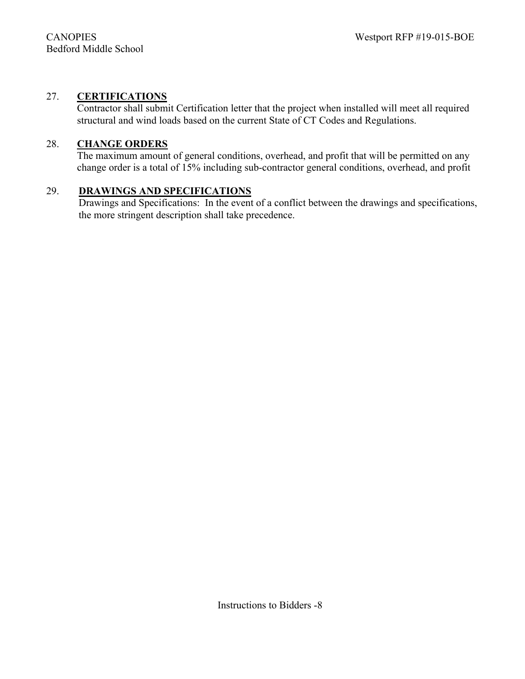### 27. **CERTIFICATIONS**

Contractor shall submit Certification letter that the project when installed will meet all required structural and wind loads based on the current State of CT Codes and Regulations.

#### 28. **CHANGE ORDERS**

The maximum amount of general conditions, overhead, and profit that will be permitted on any change order is a total of 15% including sub-contractor general conditions, overhead, and profit

#### 29. **DRAWINGS AND SPECIFICATIONS**

Drawings and Specifications: In the event of a conflict between the drawings and specifications, the more stringent description shall take precedence.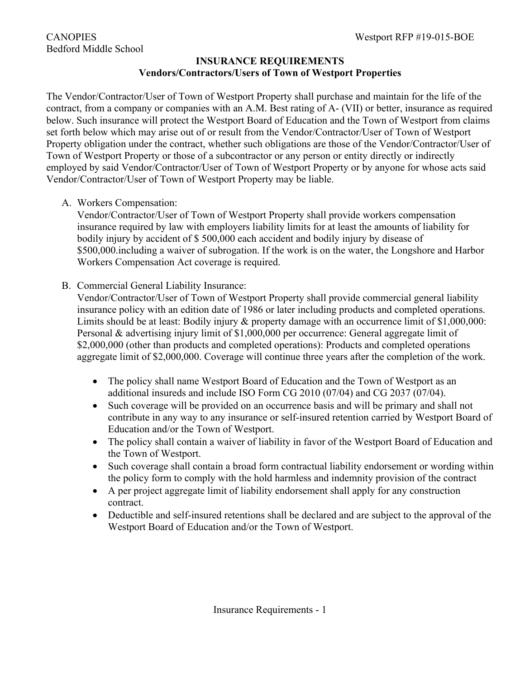## **INSURANCE REQUIREMENTS Vendors/Contractors/Users of Town of Westport Properties**

The Vendor/Contractor/User of Town of Westport Property shall purchase and maintain for the life of the contract, from a company or companies with an A.M. Best rating of A- (VII) or better, insurance as required below. Such insurance will protect the Westport Board of Education and the Town of Westport from claims set forth below which may arise out of or result from the Vendor/Contractor/User of Town of Westport Property obligation under the contract, whether such obligations are those of the Vendor/Contractor/User of Town of Westport Property or those of a subcontractor or any person or entity directly or indirectly employed by said Vendor/Contractor/User of Town of Westport Property or by anyone for whose acts said Vendor/Contractor/User of Town of Westport Property may be liable.

A. Workers Compensation:

Vendor/Contractor/User of Town of Westport Property shall provide workers compensation insurance required by law with employers liability limits for at least the amounts of liability for bodily injury by accident of \$ 500,000 each accident and bodily injury by disease of \$500,000.including a waiver of subrogation. If the work is on the water, the Longshore and Harbor Workers Compensation Act coverage is required.

B. Commercial General Liability Insurance:

Vendor/Contractor/User of Town of Westport Property shall provide commercial general liability insurance policy with an edition date of 1986 or later including products and completed operations. Limits should be at least: Bodily injury & property damage with an occurrence limit of \$1,000,000: Personal & advertising injury limit of \$1,000,000 per occurrence: General aggregate limit of \$2,000,000 (other than products and completed operations): Products and completed operations aggregate limit of \$2,000,000. Coverage will continue three years after the completion of the work.

- The policy shall name Westport Board of Education and the Town of Westport as an additional insureds and include ISO Form CG 2010 (07/04) and CG 2037 (07/04).
- Such coverage will be provided on an occurrence basis and will be primary and shall not contribute in any way to any insurance or self-insured retention carried by Westport Board of Education and/or the Town of Westport.
- The policy shall contain a waiver of liability in favor of the Westport Board of Education and the Town of Westport.
- Such coverage shall contain a broad form contractual liability endorsement or wording within the policy form to comply with the hold harmless and indemnity provision of the contract
- A per project aggregate limit of liability endorsement shall apply for any construction contract.
- Deductible and self-insured retentions shall be declared and are subject to the approval of the Westport Board of Education and/or the Town of Westport.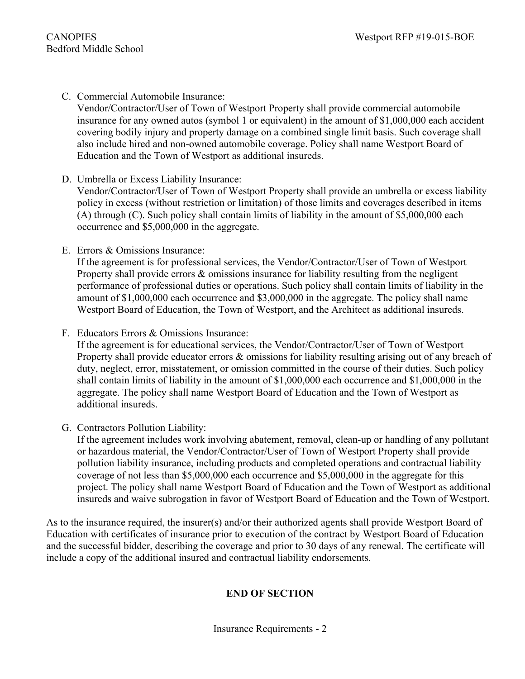C. Commercial Automobile Insurance:

Vendor/Contractor/User of Town of Westport Property shall provide commercial automobile insurance for any owned autos (symbol 1 or equivalent) in the amount of \$1,000,000 each accident covering bodily injury and property damage on a combined single limit basis. Such coverage shall also include hired and non-owned automobile coverage. Policy shall name Westport Board of Education and the Town of Westport as additional insureds.

- D. Umbrella or Excess Liability Insurance: Vendor/Contractor/User of Town of Westport Property shall provide an umbrella or excess liability policy in excess (without restriction or limitation) of those limits and coverages described in items (A) through (C). Such policy shall contain limits of liability in the amount of \$5,000,000 each occurrence and \$5,000,000 in the aggregate.
- E. Errors & Omissions Insurance:

If the agreement is for professional services, the Vendor/Contractor/User of Town of Westport Property shall provide errors & omissions insurance for liability resulting from the negligent performance of professional duties or operations. Such policy shall contain limits of liability in the amount of \$1,000,000 each occurrence and \$3,000,000 in the aggregate. The policy shall name Westport Board of Education, the Town of Westport, and the Architect as additional insureds.

F. Educators Errors & Omissions Insurance:

If the agreement is for educational services, the Vendor/Contractor/User of Town of Westport Property shall provide educator errors & omissions for liability resulting arising out of any breach of duty, neglect, error, misstatement, or omission committed in the course of their duties. Such policy shall contain limits of liability in the amount of \$1,000,000 each occurrence and \$1,000,000 in the aggregate. The policy shall name Westport Board of Education and the Town of Westport as additional insureds.

G. Contractors Pollution Liability:

If the agreement includes work involving abatement, removal, clean-up or handling of any pollutant or hazardous material, the Vendor/Contractor/User of Town of Westport Property shall provide pollution liability insurance, including products and completed operations and contractual liability coverage of not less than \$5,000,000 each occurrence and \$5,000,000 in the aggregate for this project. The policy shall name Westport Board of Education and the Town of Westport as additional insureds and waive subrogation in favor of Westport Board of Education and the Town of Westport.

As to the insurance required, the insurer(s) and/or their authorized agents shall provide Westport Board of Education with certificates of insurance prior to execution of the contract by Westport Board of Education and the successful bidder, describing the coverage and prior to 30 days of any renewal. The certificate will include a copy of the additional insured and contractual liability endorsements.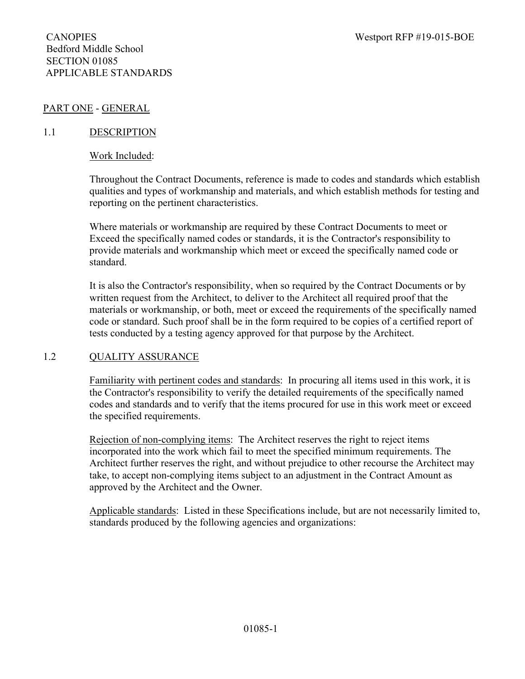### PART ONE - GENERAL

#### 1.1 DESCRIPTION

#### Work Included:

Throughout the Contract Documents, reference is made to codes and standards which establish qualities and types of workmanship and materials, and which establish methods for testing and reporting on the pertinent characteristics.

Where materials or workmanship are required by these Contract Documents to meet or Exceed the specifically named codes or standards, it is the Contractor's responsibility to provide materials and workmanship which meet or exceed the specifically named code or standard.

It is also the Contractor's responsibility, when so required by the Contract Documents or by written request from the Architect, to deliver to the Architect all required proof that the materials or workmanship, or both, meet or exceed the requirements of the specifically named code or standard. Such proof shall be in the form required to be copies of a certified report of tests conducted by a testing agency approved for that purpose by the Architect.

#### 1.2 QUALITY ASSURANCE

Familiarity with pertinent codes and standards: In procuring all items used in this work, it is the Contractor's responsibility to verify the detailed requirements of the specifically named codes and standards and to verify that the items procured for use in this work meet or exceed the specified requirements.

Rejection of non-complying items: The Architect reserves the right to reject items incorporated into the work which fail to meet the specified minimum requirements. The Architect further reserves the right, and without prejudice to other recourse the Architect may take, to accept non-complying items subject to an adjustment in the Contract Amount as approved by the Architect and the Owner.

Applicable standards: Listed in these Specifications include, but are not necessarily limited to, standards produced by the following agencies and organizations: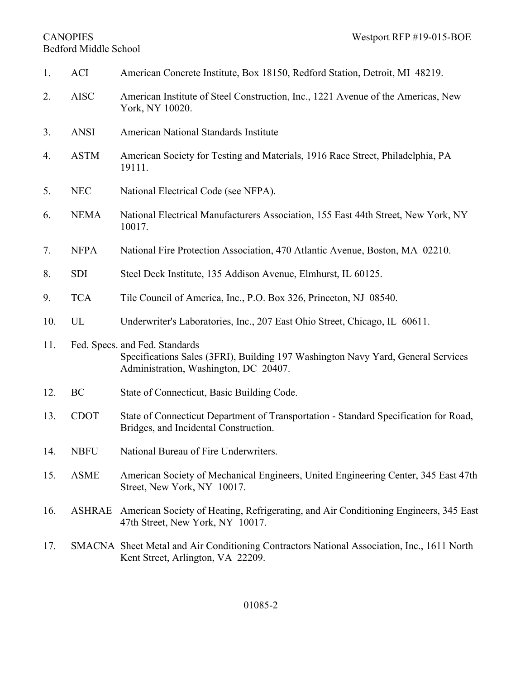# Bedford Middle School

| 1.  | <b>ACI</b>    | American Concrete Institute, Box 18150, Redford Station, Detroit, MI 48219.                                                                                 |
|-----|---------------|-------------------------------------------------------------------------------------------------------------------------------------------------------------|
| 2.  | <b>AISC</b>   | American Institute of Steel Construction, Inc., 1221 Avenue of the Americas, New<br>York, NY 10020.                                                         |
| 3.  | <b>ANSI</b>   | American National Standards Institute                                                                                                                       |
| 4.  | <b>ASTM</b>   | American Society for Testing and Materials, 1916 Race Street, Philadelphia, PA<br>19111.                                                                    |
| 5.  | <b>NEC</b>    | National Electrical Code (see NFPA).                                                                                                                        |
| 6.  | <b>NEMA</b>   | National Electrical Manufacturers Association, 155 East 44th Street, New York, NY<br>10017.                                                                 |
| 7.  | <b>NFPA</b>   | National Fire Protection Association, 470 Atlantic Avenue, Boston, MA 02210.                                                                                |
| 8.  | <b>SDI</b>    | Steel Deck Institute, 135 Addison Avenue, Elmhurst, IL 60125.                                                                                               |
| 9.  | <b>TCA</b>    | Tile Council of America, Inc., P.O. Box 326, Princeton, NJ 08540.                                                                                           |
| 10. | UL            | Underwriter's Laboratories, Inc., 207 East Ohio Street, Chicago, IL 60611.                                                                                  |
| 11. |               | Fed. Specs. and Fed. Standards<br>Specifications Sales (3FRI), Building 197 Washington Navy Yard, General Services<br>Administration, Washington, DC 20407. |
| 12. | BC            | State of Connecticut, Basic Building Code.                                                                                                                  |
| 13. | <b>CDOT</b>   | State of Connecticut Department of Transportation - Standard Specification for Road,<br>Bridges, and Incidental Construction.                               |
| 14. | <b>NBFU</b>   | National Bureau of Fire Underwriters                                                                                                                        |
| 15. | <b>ASME</b>   | American Society of Mechanical Engineers, United Engineering Center, 345 East 47th<br>Street, New York, NY 10017.                                           |
| 16. | <b>ASHRAE</b> | American Society of Heating, Refrigerating, and Air Conditioning Engineers, 345 East<br>47th Street, New York, NY 10017.                                    |
| 17. |               | SMACNA Sheet Metal and Air Conditioning Contractors National Association, Inc., 1611 North<br>Kent Street, Arlington, VA 22209.                             |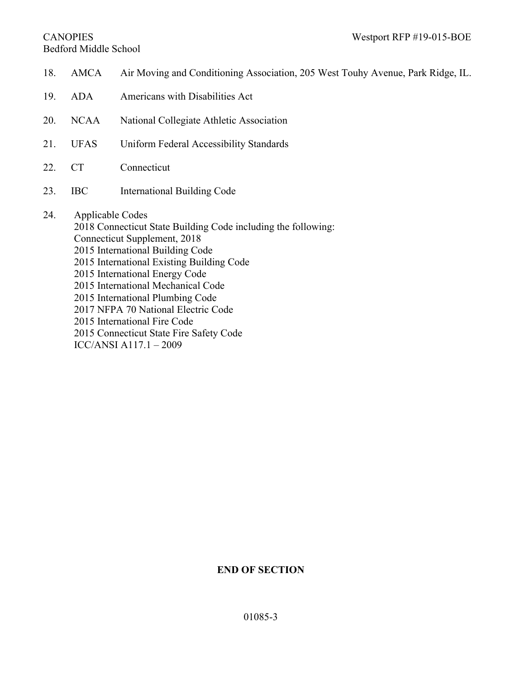# Bedford Middle School

18. AMCA Air Moving and Conditioning Association, 205 West Touhy Avenue, Park Ridge, IL. 19. ADA Americans with Disabilities Act 20. NCAA National Collegiate Athletic Association 21. UFAS Uniform Federal Accessibility Standards 22. CT Connecticut 23. IBC International Building Code 24. Applicable Codes 2018 Connecticut State Building Code including the following: Connecticut Supplement, 2018 2015 International Building Code 2015 International Existing Building Code 2015 International Energy Code 2015 International Mechanical Code 2015 International Plumbing Code 2017 NFPA 70 National Electric Code 2015 International Fire Code 2015 Connecticut State Fire Safety Code ICC/ANSI A117.1 – 2009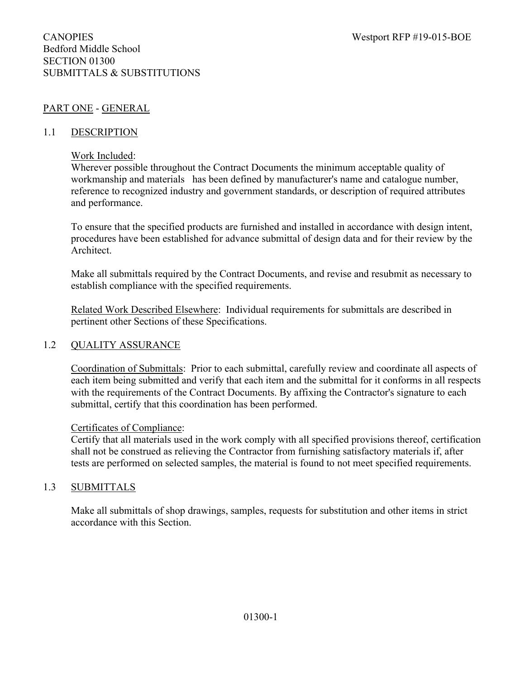## PART ONE - GENERAL

#### 1.1 DESCRIPTION

#### Work Included:

Wherever possible throughout the Contract Documents the minimum acceptable quality of workmanship and materials has been defined by manufacturer's name and catalogue number, reference to recognized industry and government standards, or description of required attributes and performance.

To ensure that the specified products are furnished and installed in accordance with design intent, procedures have been established for advance submittal of design data and for their review by the Architect.

Make all submittals required by the Contract Documents, and revise and resubmit as necessary to establish compliance with the specified requirements.

Related Work Described Elsewhere: Individual requirements for submittals are described in pertinent other Sections of these Specifications.

#### 1.2 QUALITY ASSURANCE

Coordination of Submittals: Prior to each submittal, carefully review and coordinate all aspects of each item being submitted and verify that each item and the submittal for it conforms in all respects with the requirements of the Contract Documents. By affixing the Contractor's signature to each submittal, certify that this coordination has been performed.

#### Certificates of Compliance:

Certify that all materials used in the work comply with all specified provisions thereof, certification shall not be construed as relieving the Contractor from furnishing satisfactory materials if, after tests are performed on selected samples, the material is found to not meet specified requirements.

#### 1.3 SUBMITTALS

Make all submittals of shop drawings, samples, requests for substitution and other items in strict accordance with this Section.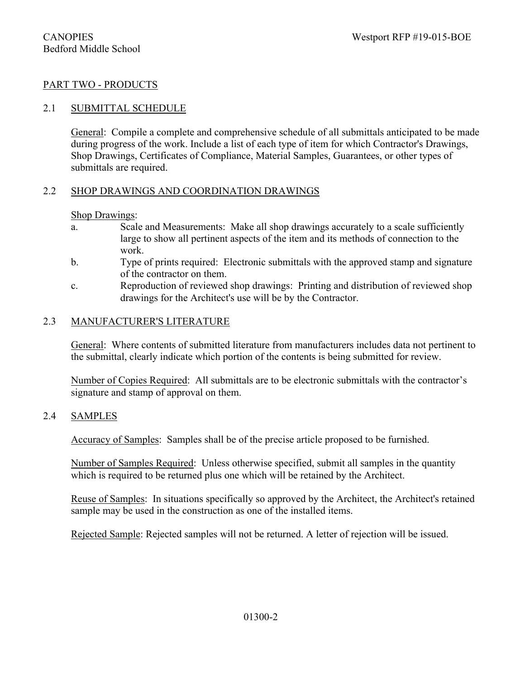#### PART TWO - PRODUCTS

#### 2.1 SUBMITTAL SCHEDULE

General: Compile a complete and comprehensive schedule of all submittals anticipated to be made during progress of the work. Include a list of each type of item for which Contractor's Drawings, Shop Drawings, Certificates of Compliance, Material Samples, Guarantees, or other types of submittals are required.

#### 2.2 SHOP DRAWINGS AND COORDINATION DRAWINGS

#### Shop Drawings:

- a. Scale and Measurements: Make all shop drawings accurately to a scale sufficiently large to show all pertinent aspects of the item and its methods of connection to the work.
- b. Type of prints required: Electronic submittals with the approved stamp and signature of the contractor on them.
- c. Reproduction of reviewed shop drawings: Printing and distribution of reviewed shop drawings for the Architect's use will be by the Contractor.

#### 2.3 MANUFACTURER'S LITERATURE

General: Where contents of submitted literature from manufacturers includes data not pertinent to the submittal, clearly indicate which portion of the contents is being submitted for review.

Number of Copies Required: All submittals are to be electronic submittals with the contractor's signature and stamp of approval on them.

#### 2.4 SAMPLES

Accuracy of Samples: Samples shall be of the precise article proposed to be furnished.

Number of Samples Required: Unless otherwise specified, submit all samples in the quantity which is required to be returned plus one which will be retained by the Architect.

Reuse of Samples: In situations specifically so approved by the Architect, the Architect's retained sample may be used in the construction as one of the installed items.

Rejected Sample: Rejected samples will not be returned. A letter of rejection will be issued.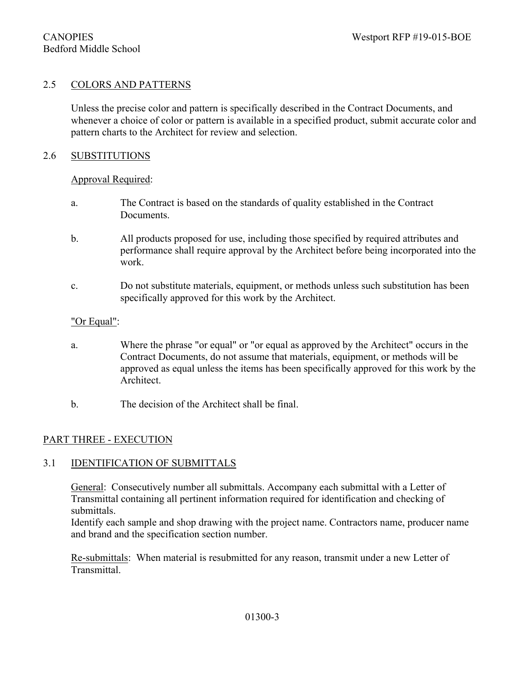#### 2.5 COLORS AND PATTERNS

Unless the precise color and pattern is specifically described in the Contract Documents, and whenever a choice of color or pattern is available in a specified product, submit accurate color and pattern charts to the Architect for review and selection.

#### 2.6 SUBSTITUTIONS

#### Approval Required:

- a. The Contract is based on the standards of quality established in the Contract Documents.
- b. All products proposed for use, including those specified by required attributes and performance shall require approval by the Architect before being incorporated into the work.
- c. Do not substitute materials, equipment, or methods unless such substitution has been specifically approved for this work by the Architect.

#### "Or Equal":

- a. Where the phrase "or equal" or "or equal as approved by the Architect" occurs in the Contract Documents, do not assume that materials, equipment, or methods will be approved as equal unless the items has been specifically approved for this work by the Architect.
- b. The decision of the Architect shall be final.

#### PART THREE - EXECUTION

#### 3.1 IDENTIFICATION OF SUBMITTALS

General: Consecutively number all submittals. Accompany each submittal with a Letter of Transmittal containing all pertinent information required for identification and checking of submittals.

Identify each sample and shop drawing with the project name. Contractors name, producer name and brand and the specification section number.

Re-submittals: When material is resubmitted for any reason, transmit under a new Letter of Transmittal.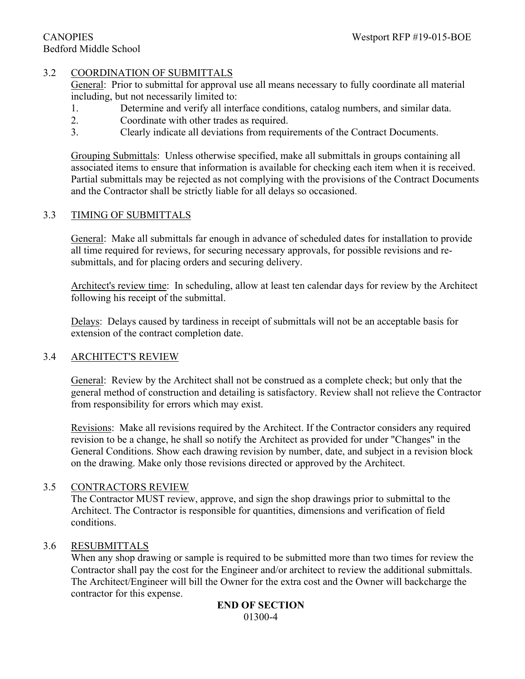#### 3.2 COORDINATION OF SUBMITTALS

General: Prior to submittal for approval use all means necessary to fully coordinate all material including, but not necessarily limited to:

- 1. Determine and verify all interface conditions, catalog numbers, and similar data.
- 2. Coordinate with other trades as required.
- 3. Clearly indicate all deviations from requirements of the Contract Documents.

Grouping Submittals: Unless otherwise specified, make all submittals in groups containing all associated items to ensure that information is available for checking each item when it is received. Partial submittals may be rejected as not complying with the provisions of the Contract Documents and the Contractor shall be strictly liable for all delays so occasioned.

## 3.3 TIMING OF SUBMITTALS

General: Make all submittals far enough in advance of scheduled dates for installation to provide all time required for reviews, for securing necessary approvals, for possible revisions and resubmittals, and for placing orders and securing delivery.

Architect's review time: In scheduling, allow at least ten calendar days for review by the Architect following his receipt of the submittal.

Delays: Delays caused by tardiness in receipt of submittals will not be an acceptable basis for extension of the contract completion date.

#### 3.4 ARCHITECT'S REVIEW

General: Review by the Architect shall not be construed as a complete check; but only that the general method of construction and detailing is satisfactory. Review shall not relieve the Contractor from responsibility for errors which may exist.

Revisions: Make all revisions required by the Architect. If the Contractor considers any required revision to be a change, he shall so notify the Architect as provided for under "Changes" in the General Conditions. Show each drawing revision by number, date, and subject in a revision block on the drawing. Make only those revisions directed or approved by the Architect.

#### 3.5 CONTRACTORS REVIEW

The Contractor MUST review, approve, and sign the shop drawings prior to submittal to the Architect. The Contractor is responsible for quantities, dimensions and verification of field conditions.

#### 3.6 RESUBMITTALS

When any shop drawing or sample is required to be submitted more than two times for review the Contractor shall pay the cost for the Engineer and/or architect to review the additional submittals. The Architect/Engineer will bill the Owner for the extra cost and the Owner will backcharge the contractor for this expense.

#### **END OF SECTION** 01300-4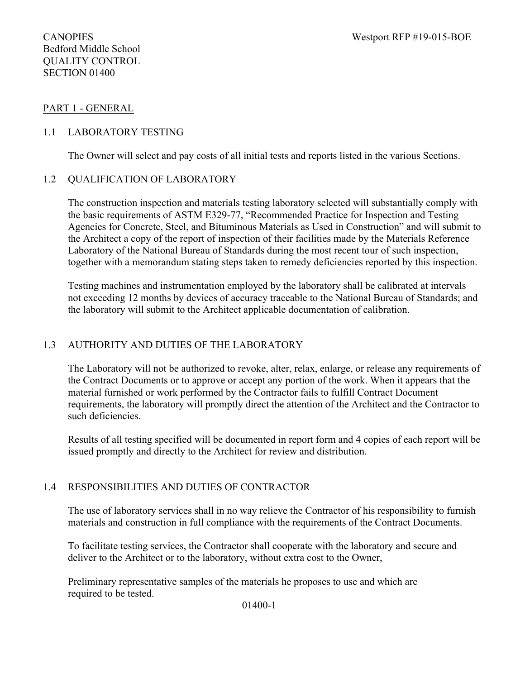#### PART 1 - GENERAL

#### 1.1 LABORATORY TESTING

The Owner will select and pay costs of all initial tests and reports listed in the various Sections.

#### 1.2 QUALIFICATION OF LABORATORY

The construction inspection and materials testing laboratory selected will substantially comply with the basic requirements of ASTM E329-77, "Recommended Practice for Inspection and Testing Agencies for Concrete, Steel, and Bituminous Materials as Used in Construction" and will submit to the Architect a copy of the report of inspection of their facilities made by the Materials Reference Laboratory of the National Bureau of Standards during the most recent tour of such inspection, together with a memorandum stating steps taken to remedy deficiencies reported by this inspection.

Testing machines and instrumentation employed by the laboratory shall be calibrated at intervals not exceeding 12 months by devices of accuracy traceable to the National Bureau of Standards; and the laboratory will submit to the Architect applicable documentation of calibration.

#### 1.3 AUTHORITY AND DUTIES OF THE LABORATORY

The Laboratory will not be authorized to revoke, alter, relax, enlarge, or release any requirements of the Contract Documents or to approve or accept any portion of the work. When it appears that the material furnished or work performed by the Contractor fails to fulfill Contract Document requirements, the laboratory will promptly direct the attention of the Architect and the Contractor to such deficiencies.

Results of all testing specified will be documented in report form and 4 copies of each report will be issued promptly and directly to the Architect for review and distribution.

#### 1.4 RESPONSIBILITIES AND DUTIES OF CONTRACTOR

The use of laboratory services shall in no way relieve the Contractor of his responsibility to furnish materials and construction in full compliance with the requirements of the Contract Documents.

To facilitate testing services, the Contractor shall cooperate with the laboratory and secure and deliver to the Architect or to the laboratory, without extra cost to the Owner,

Preliminary representative samples of the materials he proposes to use and which are required to be tested.

01400-1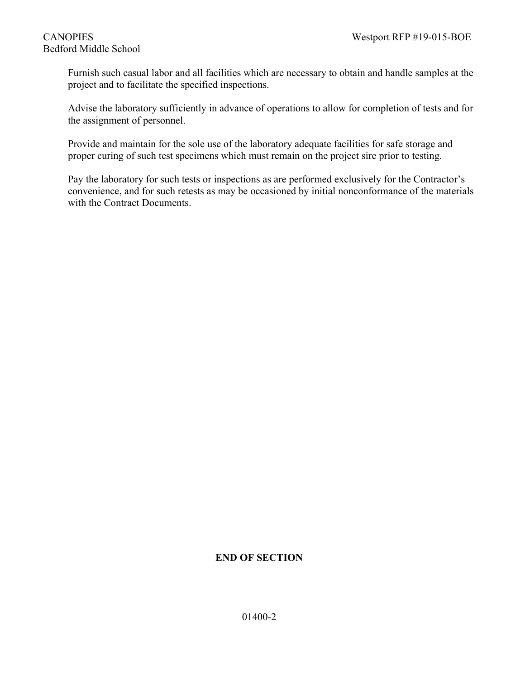# Bedford Middle School

Furnish such casual labor and all facilities which are necessary to obtain and handle samples at the project and to facilitate the specified inspections.

Advise the laboratory sufficiently in advance of operations to allow for completion of tests and for the assignment of personnel.

Provide and maintain for the sole use of the laboratory adequate facilities for safe storage and proper curing of such test specimens which must remain on the project sire prior to testing.

Pay the laboratory for such tests or inspections as are performed exclusively for the Contractor's convenience, and for such retests as may be occasioned by initial nonconformance of the materials with the Contract Documents.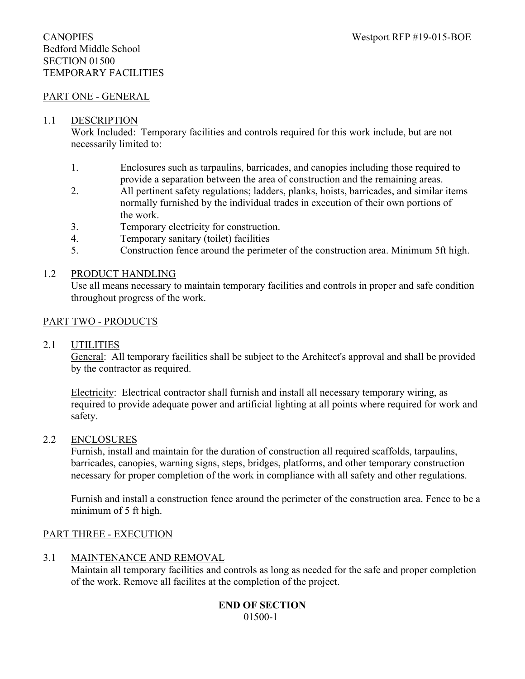## Bedford Middle School SECTION 01500 TEMPORARY FACILITIES

#### PART ONE - GENERAL

#### 1.1 DESCRIPTION

Work Included: Temporary facilities and controls required for this work include, but are not necessarily limited to:

- 1. Enclosures such as tarpaulins, barricades, and canopies including those required to provide a separation between the area of construction and the remaining areas.
- 2. All pertinent safety regulations; ladders, planks, hoists, barricades, and similar items normally furnished by the individual trades in execution of their own portions of the work.
- 3. Temporary electricity for construction.
- 4. Temporary sanitary (toilet) facilities
- 5. Construction fence around the perimeter of the construction area. Minimum 5ft high.

#### 1.2 PRODUCT HANDLING

Use all means necessary to maintain temporary facilities and controls in proper and safe condition throughout progress of the work.

#### PART TWO - PRODUCTS

#### 2.1 UTILITIES

General: All temporary facilities shall be subject to the Architect's approval and shall be provided by the contractor as required.

Electricity: Electrical contractor shall furnish and install all necessary temporary wiring, as required to provide adequate power and artificial lighting at all points where required for work and safety.

#### 2.2 ENCLOSURES

Furnish, install and maintain for the duration of construction all required scaffolds, tarpaulins, barricades, canopies, warning signs, steps, bridges, platforms, and other temporary construction necessary for proper completion of the work in compliance with all safety and other regulations.

Furnish and install a construction fence around the perimeter of the construction area. Fence to be a minimum of 5 ft high.

#### PART THREE - EXECUTION

#### 3.1 MAINTENANCE AND REMOVAL

Maintain all temporary facilities and controls as long as needed for the safe and proper completion of the work. Remove all facilites at the completion of the project.

#### **END OF SECTION** 01500-1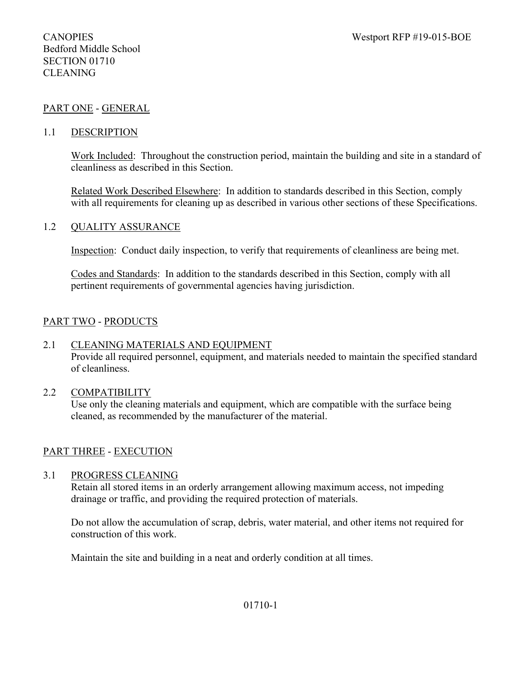## PART ONE - GENERAL

#### 1.1 DESCRIPTION

Work Included: Throughout the construction period, maintain the building and site in a standard of cleanliness as described in this Section.

Related Work Described Elsewhere: In addition to standards described in this Section, comply with all requirements for cleaning up as described in various other sections of these Specifications.

#### 1.2 QUALITY ASSURANCE

Inspection: Conduct daily inspection, to verify that requirements of cleanliness are being met.

Codes and Standards: In addition to the standards described in this Section, comply with all pertinent requirements of governmental agencies having jurisdiction.

#### PART TWO - PRODUCTS

#### 2.1 CLEANING MATERIALS AND EQUIPMENT

Provide all required personnel, equipment, and materials needed to maintain the specified standard of cleanliness.

#### 2.2 COMPATIBILITY

Use only the cleaning materials and equipment, which are compatible with the surface being cleaned, as recommended by the manufacturer of the material.

#### PART THREE - EXECUTION

#### 3.1 PROGRESS CLEANING

Retain all stored items in an orderly arrangement allowing maximum access, not impeding drainage or traffic, and providing the required protection of materials.

Do not allow the accumulation of scrap, debris, water material, and other items not required for construction of this work.

Maintain the site and building in a neat and orderly condition at all times.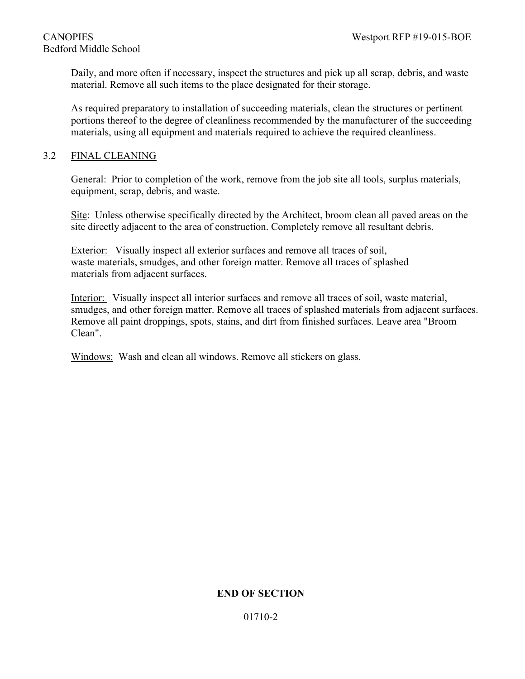# Bedford Middle School

Daily, and more often if necessary, inspect the structures and pick up all scrap, debris, and waste material. Remove all such items to the place designated for their storage.

As required preparatory to installation of succeeding materials, clean the structures or pertinent portions thereof to the degree of cleanliness recommended by the manufacturer of the succeeding materials, using all equipment and materials required to achieve the required cleanliness.

## 3.2 FINAL CLEANING

General: Prior to completion of the work, remove from the job site all tools, surplus materials, equipment, scrap, debris, and waste.

Site: Unless otherwise specifically directed by the Architect, broom clean all paved areas on the site directly adjacent to the area of construction. Completely remove all resultant debris.

Exterior: Visually inspect all exterior surfaces and remove all traces of soil, waste materials, smudges, and other foreign matter. Remove all traces of splashed materials from adjacent surfaces.

Interior: Visually inspect all interior surfaces and remove all traces of soil, waste material, smudges, and other foreign matter. Remove all traces of splashed materials from adjacent surfaces. Remove all paint droppings, spots, stains, and dirt from finished surfaces. Leave area "Broom Clean".

Windows: Wash and clean all windows. Remove all stickers on glass.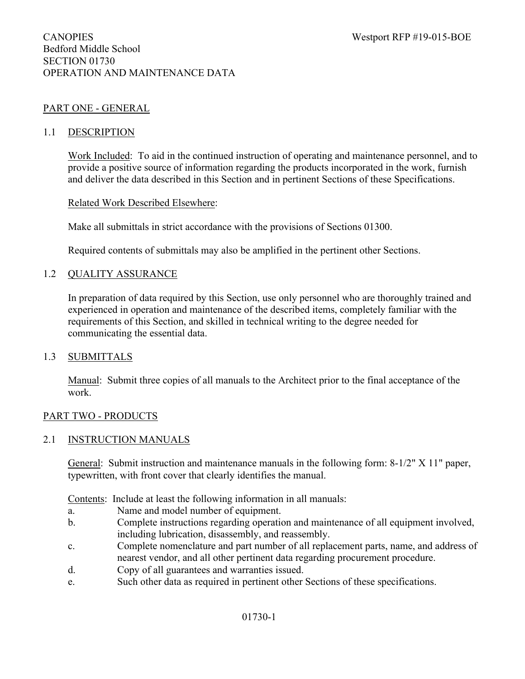#### PART ONE - GENERAL

#### 1.1 DESCRIPTION

Work Included: To aid in the continued instruction of operating and maintenance personnel, and to provide a positive source of information regarding the products incorporated in the work, furnish and deliver the data described in this Section and in pertinent Sections of these Specifications.

#### Related Work Described Elsewhere:

Make all submittals in strict accordance with the provisions of Sections 01300.

Required contents of submittals may also be amplified in the pertinent other Sections.

#### 1.2 QUALITY ASSURANCE

In preparation of data required by this Section, use only personnel who are thoroughly trained and experienced in operation and maintenance of the described items, completely familiar with the requirements of this Section, and skilled in technical writing to the degree needed for communicating the essential data.

#### 1.3 SUBMITTALS

Manual: Submit three copies of all manuals to the Architect prior to the final acceptance of the work.

#### PART TWO - PRODUCTS

#### 2.1 INSTRUCTION MANUALS

General: Submit instruction and maintenance manuals in the following form: 8-1/2" X 11" paper, typewritten, with front cover that clearly identifies the manual.

Contents: Include at least the following information in all manuals:

- a. Name and model number of equipment.
- b. Complete instructions regarding operation and maintenance of all equipment involved, including lubrication, disassembly, and reassembly.
- c. Complete nomenclature and part number of all replacement parts, name, and address of nearest vendor, and all other pertinent data regarding procurement procedure.
- d. Copy of all guarantees and warranties issued.
- e. Such other data as required in pertinent other Sections of these specifications.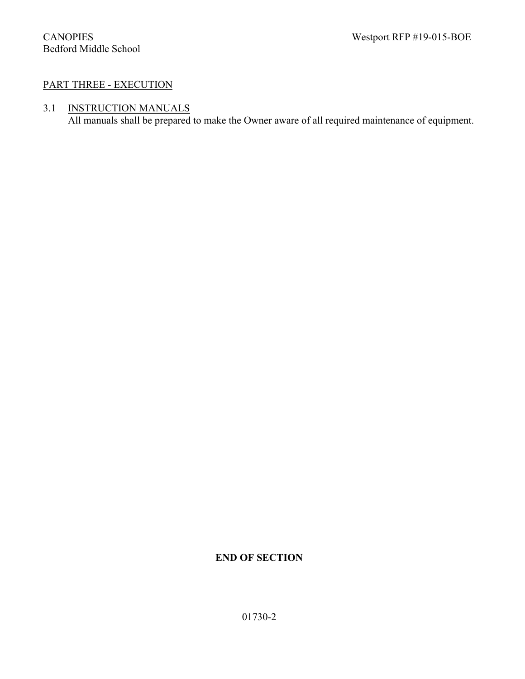## PART THREE - EXECUTION

## 3.1 INSTRUCTION MANUALS

All manuals shall be prepared to make the Owner aware of all required maintenance of equipment.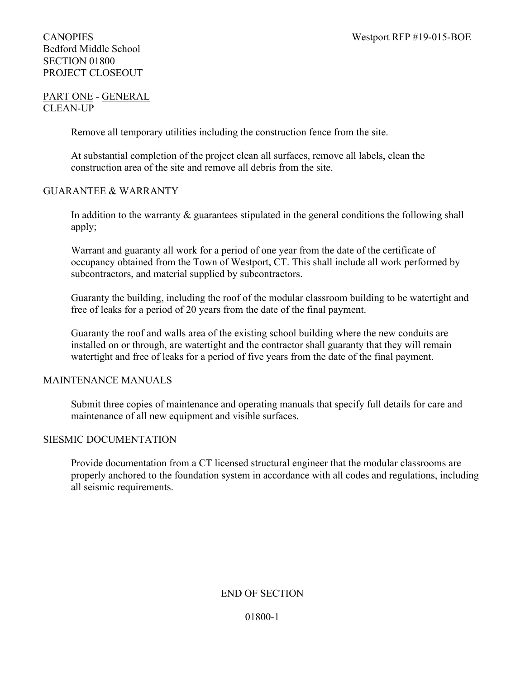## Bedford Middle School SECTION 01800 PROJECT CLOSEOUT

#### PART ONE - GENERAL CLEAN-UP

Remove all temporary utilities including the construction fence from the site.

At substantial completion of the project clean all surfaces, remove all labels, clean the construction area of the site and remove all debris from the site.

#### GUARANTEE & WARRANTY

In addition to the warranty  $\&$  guarantees stipulated in the general conditions the following shall apply;

Warrant and guaranty all work for a period of one year from the date of the certificate of occupancy obtained from the Town of Westport, CT. This shall include all work performed by subcontractors, and material supplied by subcontractors.

Guaranty the building, including the roof of the modular classroom building to be watertight and free of leaks for a period of 20 years from the date of the final payment.

Guaranty the roof and walls area of the existing school building where the new conduits are installed on or through, are watertight and the contractor shall guaranty that they will remain watertight and free of leaks for a period of five years from the date of the final payment.

#### MAINTENANCE MANUALS

Submit three copies of maintenance and operating manuals that specify full details for care and maintenance of all new equipment and visible surfaces.

#### SIESMIC DOCUMENTATION

Provide documentation from a CT licensed structural engineer that the modular classrooms are properly anchored to the foundation system in accordance with all codes and regulations, including all seismic requirements.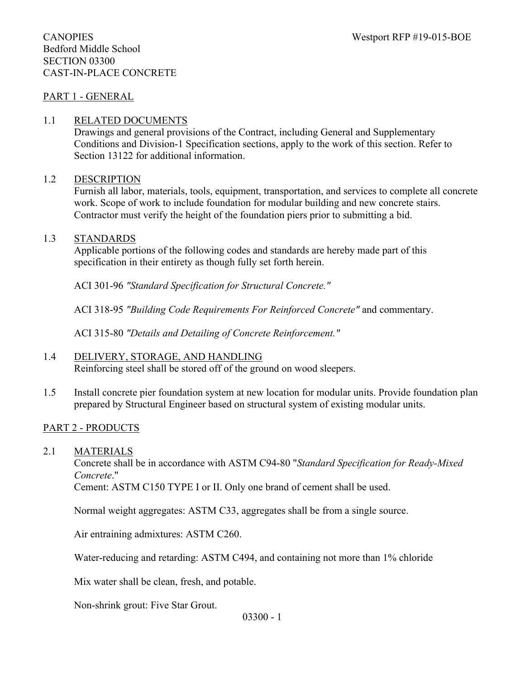#### CANOPIES Westport RFP #19-015-BOE Bedford Middle School SECTION 03300 CAST-IN-PLACE CONCRETE

#### PART 1 - GENERAL

#### 1.1 RELATED DOCUMENTS

Drawings and general provisions of the Contract, including General and Supplementary Conditions and Division-1 Specification sections, apply to the work of this section. Refer to Section 13122 for additional information.

#### 1.2 DESCRIPTION

Furnish all labor, materials, tools, equipment, transportation, and services to complete all concrete work. Scope of work to include foundation for modular building and new concrete stairs. Contractor must verify the height of the foundation piers prior to submitting a bid.

#### 1.3 STANDARDS

Applicable portions of the following codes and standards are hereby made part of this specification in their entirety as though fully set forth herein.

ACI 301-96 *"Standard Specification for Structural Concrete."*

ACI 318-95 *"Building Code Requirements For Reinforced Concrete"* and commentary.

ACI 315-80 *"Details and Detailing of Concrete Reinforcement."*

#### 1.4 DELIVERY, STORAGE, AND HANDLING

Reinforcing steel shall be stored off of the ground on wood sleepers.

1.5 Install concrete pier foundation system at new location for modular units. Provide foundation plan prepared by Structural Engineer based on structural system of existing modular units.

#### PART 2 - PRODUCTS

2.1 MATERIALS

Concrete shall be in accordance with ASTM C94-80 "*Standard Specification for Ready-Mixed Concrete*."

Cement: ASTM C150 TYPE I or II. Only one brand of cement shall be used.

Normal weight aggregates: ASTM C33, aggregates shall be from a single source.

Air entraining admixtures: ASTM C260.

Water-reducing and retarding: ASTM C494, and containing not more than 1% chloride

Mix water shall be clean, fresh, and potable.

Non-shrink grout: Five Star Grout.

03300 - 1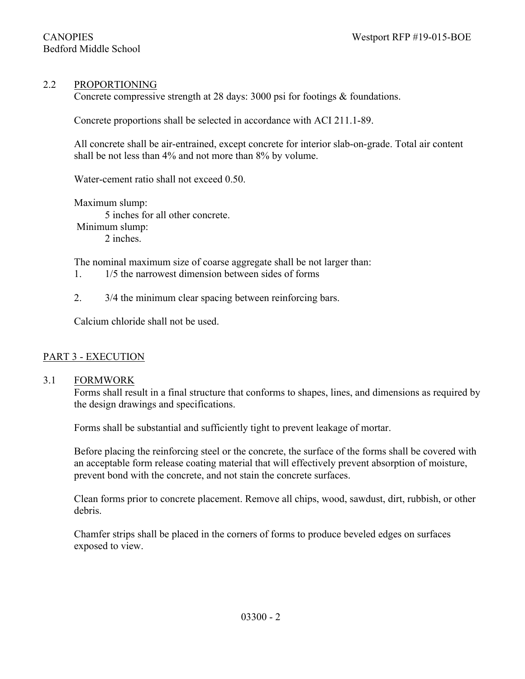#### 2.2 PROPORTIONING

Concrete compressive strength at 28 days: 3000 psi for footings & foundations.

Concrete proportions shall be selected in accordance with ACI 211.1-89.

All concrete shall be air-entrained, except concrete for interior slab-on-grade. Total air content shall be not less than 4% and not more than 8% by volume.

Water-cement ratio shall not exceed 0.50.

Maximum slump: 5 inches for all other concrete. Minimum slump: 2 inches.

The nominal maximum size of coarse aggregate shall be not larger than:

- 1. 1/5 the narrowest dimension between sides of forms
- 2. 3/4 the minimum clear spacing between reinforcing bars.

Calcium chloride shall not be used.

#### PART 3 - EXECUTION

#### 3.1 FORMWORK

Forms shall result in a final structure that conforms to shapes, lines, and dimensions as required by the design drawings and specifications.

Forms shall be substantial and sufficiently tight to prevent leakage of mortar.

Before placing the reinforcing steel or the concrete, the surface of the forms shall be covered with an acceptable form release coating material that will effectively prevent absorption of moisture, prevent bond with the concrete, and not stain the concrete surfaces.

Clean forms prior to concrete placement. Remove all chips, wood, sawdust, dirt, rubbish, or other debris.

Chamfer strips shall be placed in the corners of forms to produce beveled edges on surfaces exposed to view.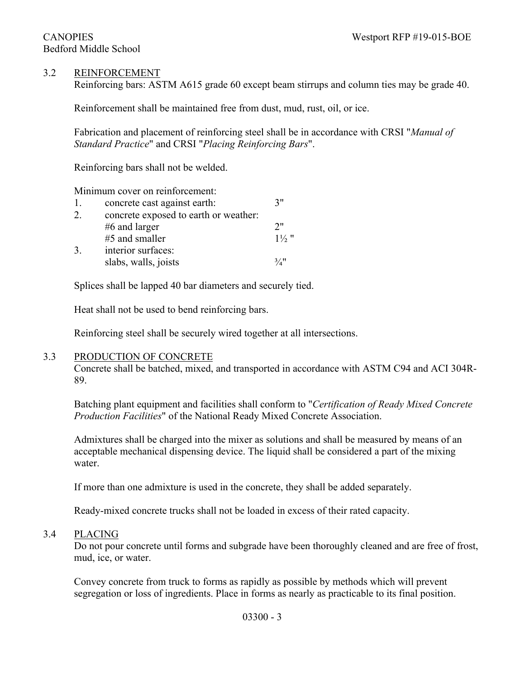### 3.2 REINFORCEMENT

Reinforcing bars: ASTM A615 grade 60 except beam stirrups and column ties may be grade 40.

Reinforcement shall be maintained free from dust, mud, rust, oil, or ice.

Fabrication and placement of reinforcing steel shall be in accordance with CRSI "*Manual of Standard Practice*" and CRSI "*Placing Reinforcing Bars*".

Reinforcing bars shall not be welded.

Minimum cover on reinforcement:

| 1. | concrete cast against earth:          | 7"               |
|----|---------------------------------------|------------------|
| 2. | concrete exposed to earth or weather: |                  |
|    | $#6$ and larger                       | 2"               |
|    | #5 and smaller                        | $1\frac{1}{2}$ " |
| 3. | interior surfaces:                    |                  |
|    | slabs, walls, joists                  | 3/4"             |

Splices shall be lapped 40 bar diameters and securely tied.

Heat shall not be used to bend reinforcing bars.

Reinforcing steel shall be securely wired together at all intersections.

#### 3.3 PRODUCTION OF CONCRETE

Concrete shall be batched, mixed, and transported in accordance with ASTM C94 and ACI 304R-89.

Batching plant equipment and facilities shall conform to "*Certification of Ready Mixed Concrete Production Facilities*" of the National Ready Mixed Concrete Association.

Admixtures shall be charged into the mixer as solutions and shall be measured by means of an acceptable mechanical dispensing device. The liquid shall be considered a part of the mixing water.

If more than one admixture is used in the concrete, they shall be added separately.

Ready-mixed concrete trucks shall not be loaded in excess of their rated capacity.

#### 3.4 PLACING

Do not pour concrete until forms and subgrade have been thoroughly cleaned and are free of frost, mud, ice, or water.

Convey concrete from truck to forms as rapidly as possible by methods which will prevent segregation or loss of ingredients. Place in forms as nearly as practicable to its final position.